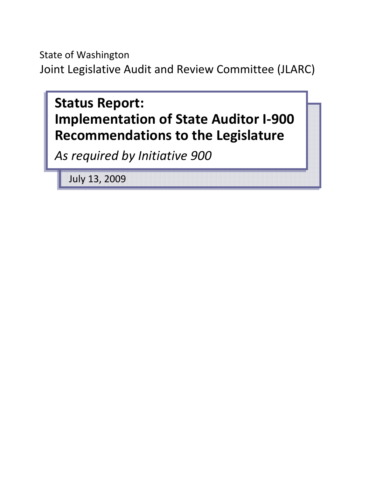State of Washington Joint Legislative Audit and Review Committee (JLARC)



July 13, 2009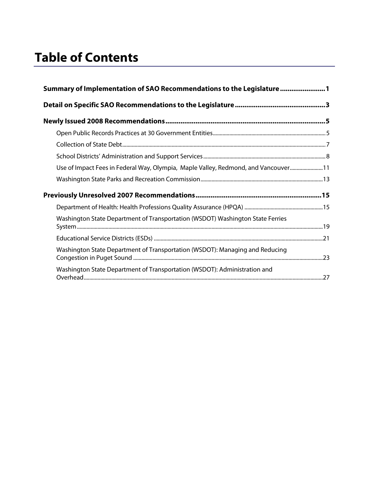# **Table of Contents**

| Summary of Implementation of SAO Recommendations to the Legislature 1              |  |  |  |  |
|------------------------------------------------------------------------------------|--|--|--|--|
|                                                                                    |  |  |  |  |
|                                                                                    |  |  |  |  |
|                                                                                    |  |  |  |  |
|                                                                                    |  |  |  |  |
|                                                                                    |  |  |  |  |
| Use of Impact Fees in Federal Way, Olympia, Maple Valley, Redmond, and Vancouver11 |  |  |  |  |
|                                                                                    |  |  |  |  |
|                                                                                    |  |  |  |  |
|                                                                                    |  |  |  |  |
| Washington State Department of Transportation (WSDOT) Washington State Ferries     |  |  |  |  |
|                                                                                    |  |  |  |  |
| Washington State Department of Transportation (WSDOT): Managing and Reducing       |  |  |  |  |
| Washington State Department of Transportation (WSDOT): Administration and          |  |  |  |  |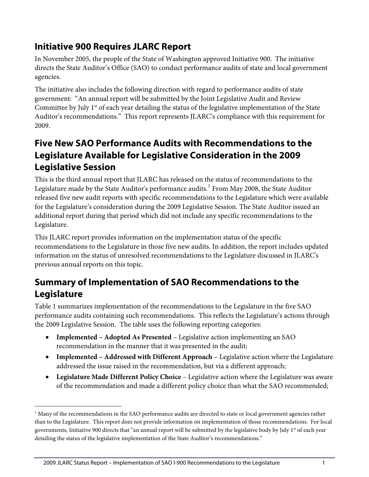## **Initiative 900 Requires JLARC Report**

In November 2005, the people of the State of Washington approved Initiative 900. The initiative directs the State Auditor's Office (SAO) to conduct performance audits of state and local government agencies.

The initiative also includes the following direction with regard to performance audits of state government: "An annual report will be submitted by the Joint Legislative Audit and Review Committee by July 1<sup>st</sup> of each year detailing the status of the legislative implementation of the State Auditor's recommendations." This report represents JLARC's compliance with this requirement for 2009.

## **Five New SAO Performance Audits with Recommendations to the Legislature Available for Legislative Consideration in the 2009 Legislative Session**

This is the third annual report that JLARC has released on the status of recommendations to the Legislature made by the State Auditor's performance audits. $^{\rm l}$  From May 2008, the State Auditor released five new audit reports with specific recommendations to the Legislature which were available for the Legislature's consideration during the 2009 Legislative Session. The State Auditor issued an additional report during that period which did not include any specific recommendations to the Legislature.

This JLARC report provides information on the implementation status of the specific recommendations to the Legislature in those five new audits. In addition, the report includes updated information on the status of unresolved recommendations to the Legislature discussed in JLARC's previous annual reports on this topic.

## <span id="page-4-0"></span>**Summary of Implementation of SAO Recommendations to the Legislature**

Table 1 summarizes implementation of the recommendations to the Legislature in the five SAO performance audits containing such recommendations. This reflects the Legislature's actions through the 2009 Legislative Session. The table uses the following reporting categories:

- **Implemented – Adopted As Presented** Legislative action implementing an SAO recommendation in the manner that it was presented in the audit;
- **Implemented – Addressed with Different Approach** Legislative action where the Legislature addressed the issue raised in the recommendation, but via a different approach;
- **Legislature Made Different Policy Choice** Legislative action where the Legislature was aware of the recommendation and made a different policy choice than what the SAO recommended;

 $\overline{a}$ 

<span id="page-4-1"></span> $<sup>1</sup>$  Many of the recommendations in the SAO performance audits are directed to state or local government agencies rather</sup> than to the Legislature. This report does not provide information on implementation of those recommendations. For local governments, Initiative 900 directs that "an annual report will be submitted by the legislative body by July 1<sup>st</sup> of each year detailing the status of the legislative implementation of the State Auditor's recommendations."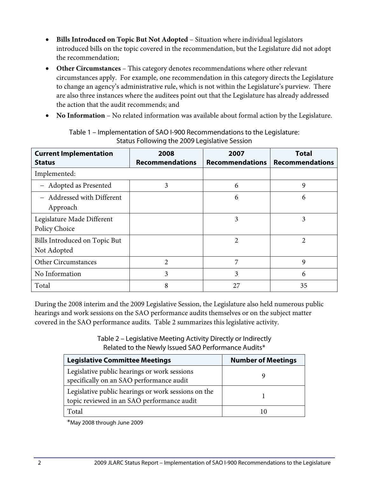- **Bills Introduced on Topic But Not Adopted** Situation where individual legislators introduced bills on the topic covered in the recommendation, but the Legislature did not adopt the recommendation;
- **Other Circumstances** This category denotes recommendations where other relevant circumstances apply. For example, one recommendation in this category directs the Legislature to change an agency's administrative rule, which is not within the Legislature's purview. There are also three instances where the auditees point out that the Legislature has already addressed the action that the audit recommends; and
- **No Information** No related information was available about formal action by the Legislature.

| <b>Current Implementation</b><br><b>Status</b> | 2008<br><b>Recommendations</b> | 2007<br><b>Recommendations</b> | <b>Total</b><br><b>Recommendations</b> |
|------------------------------------------------|--------------------------------|--------------------------------|----------------------------------------|
| Implemented:                                   |                                |                                |                                        |
| - Adopted as Presented                         | 3                              | 6                              | 9                                      |
| - Addressed with Different<br>Approach         |                                | 6                              | 6                                      |
| Legislature Made Different<br>Policy Choice    |                                | 3                              | 3                                      |
| Bills Introduced on Topic But<br>Not Adopted   |                                | 2                              | 2                                      |
| <b>Other Circumstances</b>                     | $\overline{2}$                 | 7                              | 9                                      |
| No Information                                 | 3                              | 3                              | 6                                      |
| Total                                          | 8                              | 27                             | 35                                     |

Table 1 – Implementation of SAO I-900 Recommendations to the Legislature: Status Following the 2009 Legislative Session

During the 2008 interim and the 2009 Legislative Session, the Legislature also held numerous public hearings and work sessions on the SAO performance audits themselves or on the subject matter covered in the SAO performance audits. Table 2 summarizes this legislative activity.

> Table 2 – Legislative Meeting Activity Directly or Indirectly Related to the Newly Issued SAO Performance Audits\*

| <b>Legislative Committee Meetings</b>                                                             | <b>Number of Meetings</b> |
|---------------------------------------------------------------------------------------------------|---------------------------|
| Legislative public hearings or work sessions<br>specifically on an SAO performance audit          |                           |
| Legislative public hearings or work sessions on the<br>topic reviewed in an SAO performance audit |                           |
| Total                                                                                             | 10                        |

\*May 2008 through June 2009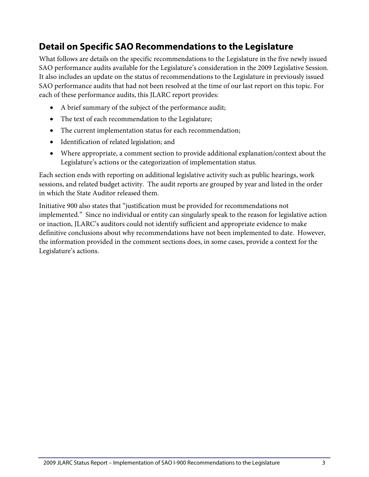## <span id="page-6-0"></span>**Detail on Specific SAO Recommendations to the Legislature**

What follows are details on the specific recommendations to the Legislature in the five newly issued SAO performance audits available for the Legislature's consideration in the 2009 Legislative Session. It also includes an update on the status of recommendations to the Legislature in previously issued SAO performance audits that had not been resolved at the time of our last report on this topic. For each of these performance audits, this JLARC report provides:

- A brief summary of the subject of the performance audit;
- The text of each recommendation to the Legislature;
- The current implementation status for each recommendation;
- Identification of related legislation; and
- Where appropriate, a comment section to provide additional explanation/context about the Legislature's actions or the categorization of implementation status.

Each section ends with reporting on additional legislative activity such as public hearings, work sessions, and related budget activity. The audit reports are grouped by year and listed in the order in which the State Auditor released them.

Initiative 900 also states that "justification must be provided for recommendations not implemented." Since no individual or entity can singularly speak to the reason for legislative action or inaction, JLARC's auditors could not identify sufficient and appropriate evidence to make definitive conclusions about why recommendations have not been implemented to date. However, the information provided in the comment sections does, in some cases, provide a context for the Legislature's actions.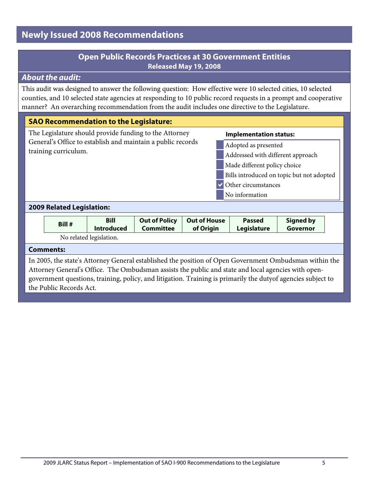## <span id="page-8-0"></span>**Newly Issued 2008 Recommendations**

## **Open Public Records Practices at 30 Government Entities Released May 19, 2008**

## <span id="page-8-1"></span>*About the audit:*

This audit was designed to answer the following question: How effective were 10 selected cities, 10 selected counties, and 10 selected state agencies at responding to 10 public record requests in a prompt and cooperative manner? An overarching recommendation from the audit includes one directive to the Legislature.

## **SAO Recommendation to the Legislature:**

The Legislature should provide funding to the Attorney General's Office to establish and maintain a public records training curriculum.

#### **Implementation status:**

- Adopted as presented Addressed with different approach
- Made different policy choice
- Bills introduced on topic but not adopted
- Other circumstances No information

#### **2009 Related Legislation:**

| Bill #                  | Bill              | <b>Out of Policy</b> | Out of House | <b>Passed</b> | <b>Signed by</b> |
|-------------------------|-------------------|----------------------|--------------|---------------|------------------|
|                         | <b>Introduced</b> | Committee            | of Origin    | Legislature   | Governor         |
| No related legislation. |                   |                      |              |               |                  |

#### **Comments:**

In 2005, the state's Attorney General established the position of Open Government Ombudsman within the Attorney General's Office. The Ombudsman assists the public and state and local agencies with opengovernment questions, training, policy, and litigation. Training is primarily the dutyof agencies subject to the Public Records Act.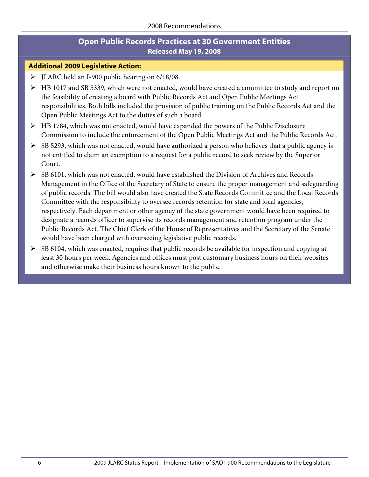## **Open Public Records Practices at 30 Government Entities Released May 19, 2008**

#### **Additional 2009 Legislative Action:**

- JLARC held an I-900 public hearing on 6/18/08.
- HB 1017 and SB 5339, which were not enacted, would have created a committee to study and report on the feasibility of creating a board with Public Records Act and Open Public Meetings Act responsibilities. Both bills included the provision of public training on the Public Records Act and the Open Public Meetings Act to the duties of such a board.
- $\triangleright$  HB 1784, which was not enacted, would have expanded the powers of the Public Disclosure Commission to include the enforcement of the Open Public Meetings Act and the Public Records Act.
- $\triangleright$  SB 5293, which was not enacted, would have authorized a person who believes that a public agency is not entitled to claim an exemption to a request for a public record to seek review by the Superior Court.
- $\triangleright$  SB 6101, which was not enacted, would have established the Division of Archives and Records Management in the Office of the Secretary of State to ensure the proper management and safeguarding of public records. The bill would also have created the State Records Committee and the Local Records Committee with the responsibility to oversee records retention for state and local agencies, respectively. Each department or other agency of the state government would have been required to designate a records officer to supervise its records management and retention program under the Public Records Act. The Chief Clerk of the House of Representatives and the Secretary of the Senate would have been charged with overseeing legislative public records.
- $\triangleright$  SB 6104, which was enacted, requires that public records be available for inspection and copying at least 30 hours per week. Agencies and offices must post customary business hours on their websites and otherwise make their business hours known to the public.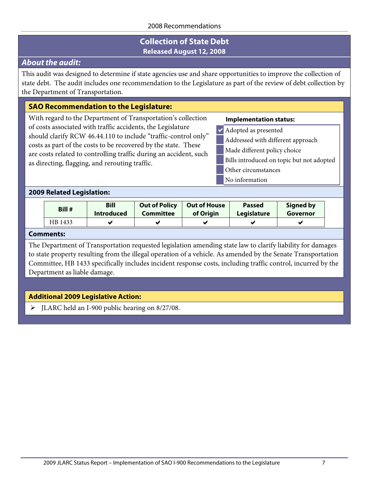## **Collection of State Debt Released August 12, 2008**

## <span id="page-10-0"></span>*About the audit:*

This audit was designed to determine if state agencies use and share opportunities to improve the collection of state debt. The audit includes one recommendation to the Legislature as part of the review of debt collection by the Department of Transportation.

## **SAO Recommendation to the Legislature:**

With regard to the Department of Transportation's collection of costs associated with traffic accidents, the Legislature should clarify RCW 46.44.110 to include "traffic-control only" costs as part of the costs to be recovered by the state. These are costs related to controlling traffic during an accident, such as directing, flagging, and rerouting traffic.

#### **Implementation status:**

- Adopted as presented
- Addressed with different approach
- Made different policy choice
- Bills introduced on topic but not adopted
- Other circumstances
	- No information

#### **2009 Related Legislation:**

| Bill #  | <b>Bill</b>       | <b>Out of Policy</b> | <b>Out of House</b> | <b>Passed</b> | <b>Signed by</b> |
|---------|-------------------|----------------------|---------------------|---------------|------------------|
|         | <b>Introduced</b> | Committee            | of Origin           | Legislature   | Governor         |
| HB 1433 |                   |                      |                     |               |                  |

#### **Comments:**

The Department of Transportation requested legislation amending state law to clarify liability for damages to state property resulting from the illegal operation of a vehicle. As amended by the Senate Transportation Committee, HB 1433 specifically includes incident response costs, including traffic control, incurred by the Department as liable damage.

## **Additional 2009 Legislative Action:**

JLARC held an I-900 public hearing on 8/27/08.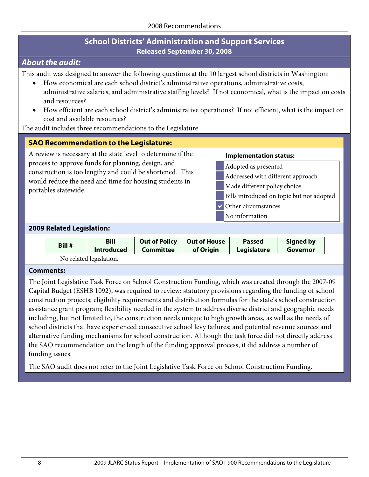## **School Districts' Administration and Support Services Released September 30, 2008**

## <span id="page-11-0"></span>*About the audit:*

This audit was designed to answer the following questions at the 10 largest school districts in Washington:

- How economical are each school district's administrative operations, administrative costs, administrative salaries, and administrative staffing levels? If not economical, what is the impact on costs and resources?
- How efficient are each school district's administrative operations? If not efficient, what is the impact on cost and available resources?

The audit includes three recommendations to the Legislature.

#### **SAO Recommendation to the Legislature:**

A review is necessary at the state level to determine if the process to approve funds for planning, design, and construction is too lengthy and could be shortened. This would reduce the need and time for housing students in portables statewide.

#### **Implementation status:**

- Adopted as presented Addressed with different approach
- Made different policy choice
- Bills introduced on topic but not adopted
- Other circumstances
	- No information

#### **2009 Related Legislation:**

| Bill #                 | <b>Bill</b>       | <b>Out of Policy</b> | <b>Out of House</b> | <b>Passed</b> | Signed by |  |  |
|------------------------|-------------------|----------------------|---------------------|---------------|-----------|--|--|
|                        | <b>Introduced</b> | <b>Committee</b>     | of Origin           | Legislature   | Governor  |  |  |
| No related legislation |                   |                      |                     |               |           |  |  |

No related legislation.

#### **Comments:**

The Joint Legislative Task Force on School Construction Funding, which was created through the 2007-09 Capital Budget (ESHB 1092), was required to review: statutory provisions regarding the funding of school construction projects; eligibility requirements and distribution formulas for the state's school construction assistance grant program; flexibility needed in the system to address diverse district and geographic needs including, but not limited to, the construction needs unique to high growth areas, as well as the needs of school districts that have experienced consecutive school levy failures; and potential revenue sources and alternative funding mechanisms for school construction. Although the task force did not directly address the SAO recommendation on the length of the funding approval process, it did address a number of funding issues.

The SAO audit does not refer to the Joint Legislative Task Force on School Construction Funding.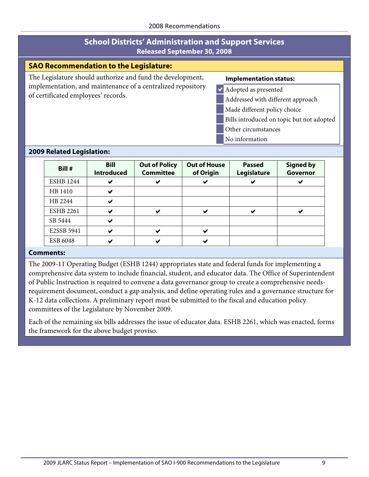## **School Districts' Administration and Support Services Released September 30, 2008**

#### **SAO Recommendation to the Legislature:**

The Legislature should authorize and fund the development, implementation, and maintenance of a centralized repository of certificated employees' records.

#### **Implementation status:**

- Adopted as presented
	- Addressed with different approach
- Made different policy choice
- Bills introduced on topic but not adopted
- Other circumstances
- No information

#### **2009 Related Legislation:**

| Bill #           | <b>Bill</b><br><b>Introduced</b> | <b>Out of Policy</b><br><b>Committee</b> | <b>Out of House</b><br>of Origin | <b>Passed</b><br>Legislature | <b>Signed by</b><br>Governor |
|------------------|----------------------------------|------------------------------------------|----------------------------------|------------------------------|------------------------------|
| <b>ESHB 1244</b> |                                  | ✔                                        |                                  |                              |                              |
| HB 1410          | M                                |                                          |                                  |                              |                              |
| HB 2244          |                                  |                                          |                                  |                              |                              |
| <b>ESHB 2261</b> |                                  | ✔                                        |                                  |                              |                              |
| SB 5444          | ✔                                |                                          |                                  |                              |                              |
| E2SSB 5941       | M                                | ✔                                        |                                  |                              |                              |
| ESB 6048         |                                  | ✔                                        |                                  |                              |                              |

#### **Comments:**

The 2009-11 Operating Budget (ESHB 1244) appropriates state and federal funds for implementing a comprehensive data system to include financial, student, and educator data. The Office of Superintendent of Public Instruction is required to convene a data governance group to create a comprehensive needsrequirement document, conduct a gap analysis, and define operating rules and a governance structure for K-12 data collections. A preliminary report must be submitted to the fiscal and education policy committees of the Legislature by November 2009.

Each of the remaining six bills addresses the issue of educator data. ESHB 2261, which was enacted, forms the framework for the above budget proviso.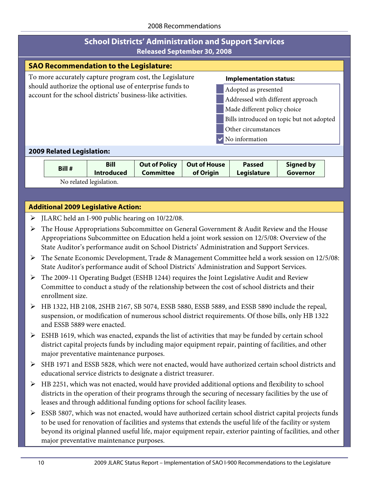|                                                                                                                         | <b>School Districts' Administration and Support Services</b><br><b>Released September 30, 2008</b> |                                          |                                                                                                   |                     |                                   |                                                                                                                                                                                                             |  |
|-------------------------------------------------------------------------------------------------------------------------|----------------------------------------------------------------------------------------------------|------------------------------------------|---------------------------------------------------------------------------------------------------|---------------------|-----------------------------------|-------------------------------------------------------------------------------------------------------------------------------------------------------------------------------------------------------------|--|
| <b>SAO Recommendation to the Legislature:</b>                                                                           |                                                                                                    |                                          |                                                                                                   |                     |                                   |                                                                                                                                                                                                             |  |
|                                                                                                                         |                                                                                                    |                                          | To more accurately capture program cost, the Legislature                                          |                     | <b>Implementation status:</b>     |                                                                                                                                                                                                             |  |
| should authorize the optional use of enterprise funds to<br>account for the school districts' business-like activities. |                                                                                                    |                                          |                                                                                                   |                     | Adopted as presented              |                                                                                                                                                                                                             |  |
|                                                                                                                         |                                                                                                    |                                          |                                                                                                   |                     | Addressed with different approach |                                                                                                                                                                                                             |  |
|                                                                                                                         |                                                                                                    |                                          |                                                                                                   |                     | Made different policy choice      |                                                                                                                                                                                                             |  |
|                                                                                                                         |                                                                                                    |                                          |                                                                                                   |                     |                                   | Bills introduced on topic but not adopted                                                                                                                                                                   |  |
|                                                                                                                         |                                                                                                    |                                          |                                                                                                   |                     | Other circumstances               |                                                                                                                                                                                                             |  |
|                                                                                                                         |                                                                                                    |                                          |                                                                                                   |                     | No information                    |                                                                                                                                                                                                             |  |
|                                                                                                                         | <b>2009 Related Legislation:</b>                                                                   |                                          |                                                                                                   |                     |                                   |                                                                                                                                                                                                             |  |
|                                                                                                                         | Bill #                                                                                             | <b>Bill</b>                              | <b>Out of Policy</b>                                                                              | <b>Out of House</b> | <b>Passed</b>                     | <b>Signed by</b>                                                                                                                                                                                            |  |
|                                                                                                                         |                                                                                                    | <b>Introduced</b>                        | <b>Committee</b>                                                                                  | of Origin           | Legislature                       | Governor                                                                                                                                                                                                    |  |
|                                                                                                                         |                                                                                                    | No related legislation.                  |                                                                                                   |                     |                                   |                                                                                                                                                                                                             |  |
|                                                                                                                         |                                                                                                    |                                          |                                                                                                   |                     |                                   |                                                                                                                                                                                                             |  |
|                                                                                                                         | <b>Additional 2009 Legislative Action:</b>                                                         |                                          |                                                                                                   |                     |                                   |                                                                                                                                                                                                             |  |
| ➤                                                                                                                       |                                                                                                    |                                          | JLARC held an I-900 public hearing on 10/22/08.                                                   |                     |                                   |                                                                                                                                                                                                             |  |
| ➤                                                                                                                       |                                                                                                    |                                          |                                                                                                   |                     |                                   | The House Appropriations Subcommittee on General Government & Audit Review and the House                                                                                                                    |  |
|                                                                                                                         |                                                                                                    |                                          |                                                                                                   |                     |                                   | Appropriations Subcommittee on Education held a joint work session on 12/5/08: Overview of the                                                                                                              |  |
|                                                                                                                         |                                                                                                    |                                          | State Auditor's performance audit on School Districts' Administration and Support Services.       |                     |                                   |                                                                                                                                                                                                             |  |
| ➤                                                                                                                       |                                                                                                    |                                          | State Auditor's performance audit of School Districts' Administration and Support Services.       |                     |                                   | The Senate Economic Development, Trade & Management Committee held a work session on 12/5/08:                                                                                                               |  |
| ➤                                                                                                                       |                                                                                                    |                                          | The 2009-11 Operating Budget (ESHB 1244) requires the Joint Legislative Audit and Review          |                     |                                   |                                                                                                                                                                                                             |  |
|                                                                                                                         |                                                                                                    |                                          | Committee to conduct a study of the relationship between the cost of school districts and their   |                     |                                   |                                                                                                                                                                                                             |  |
|                                                                                                                         | enrollment size.                                                                                   |                                          |                                                                                                   |                     |                                   |                                                                                                                                                                                                             |  |
|                                                                                                                         | and ESSB 5889 were enacted.                                                                        |                                          |                                                                                                   |                     |                                   | HB 1322, HB 2108, 2SHB 2167, SB 5074, ESSB 5880, ESSB 5889, and ESSB 5890 include the repeal,<br>suspension, or modification of numerous school district requirements. Of those bills, only HB 1322         |  |
| ➤                                                                                                                       |                                                                                                    |                                          | ESHB 1619, which was enacted, expands the list of activities that may be funded by certain school |                     |                                   |                                                                                                                                                                                                             |  |
|                                                                                                                         |                                                                                                    |                                          |                                                                                                   |                     |                                   | district capital projects funds by including major equipment repair, painting of facilities, and other                                                                                                      |  |
|                                                                                                                         |                                                                                                    | major preventative maintenance purposes. |                                                                                                   |                     |                                   |                                                                                                                                                                                                             |  |
| ➤                                                                                                                       |                                                                                                    |                                          | educational service districts to designate a district treasurer.                                  |                     |                                   | SHB 1971 and ESSB 5828, which were not enacted, would have authorized certain school districts and                                                                                                          |  |
| ➤                                                                                                                       |                                                                                                    |                                          |                                                                                                   |                     |                                   |                                                                                                                                                                                                             |  |
|                                                                                                                         |                                                                                                    |                                          |                                                                                                   |                     |                                   | HB 2251, which was not enacted, would have provided additional options and flexibility to school<br>districts in the operation of their programs through the securing of necessary facilities by the use of |  |
|                                                                                                                         |                                                                                                    |                                          | leases and through additional funding options for school facility leases.                         |                     |                                   |                                                                                                                                                                                                             |  |
| ➤                                                                                                                       |                                                                                                    |                                          |                                                                                                   |                     |                                   | ESSB 5807, which was not enacted, would have authorized certain school district capital projects funds                                                                                                      |  |
|                                                                                                                         |                                                                                                    |                                          |                                                                                                   |                     |                                   | to be used for renovation of facilities and systems that extends the useful life of the facility or system                                                                                                  |  |
|                                                                                                                         |                                                                                                    |                                          |                                                                                                   |                     |                                   | beyond its original planned useful life, major equipment repair, exterior painting of facilities, and other                                                                                                 |  |

major preventative maintenance purposes.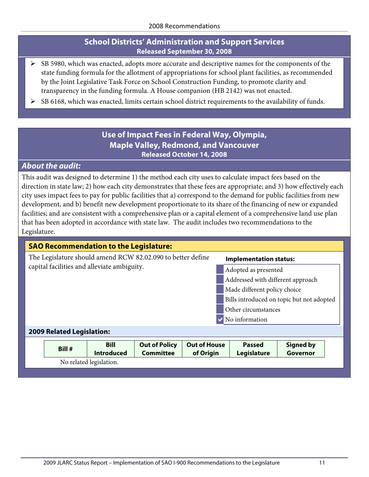## **School Districts' Administration and Support Services Released September 30, 2008**

- $\triangleright$  SB 5980, which was enacted, adopts more accurate and descriptive names for the components of the state funding formula for the allotment of appropriations for school plant facilities, as recommended by the Joint Legislative Task Force on School Construction Funding, to promote clarity and transparency in the funding formula. A House companion (HB 2142) was not enacted.
- <span id="page-14-0"></span>SB 6168, which was enacted, limits certain school district requirements to the availability of funds.

## **Use of Impact Fees in Federal Way, Olympia, Maple Valley, Redmond, and Vancouver Released October 14, 2008**

## *About the audit:*

This audit was designed to determine 1) the method each city uses to calculate impact fees based on the direction in state law; 2) how each city demonstrates that these fees are appropriate; and 3) how effectively each city uses impact fees to pay for public facilities that a) correspond to the demand for public facilities from new development, and b) benefit new development proportionate to its share of the financing of new or expanded facilities; and are consistent with a comprehensive plan or a capital element of a comprehensive land use plan that has been adopted in accordance with state law. The audit includes two recommendations to the Legislature.

| <b>SAO Recommendation to the Legislature:</b>               |                                           |
|-------------------------------------------------------------|-------------------------------------------|
| The Legislature should amend RCW 82.02.090 to better define | <b>Implementation status:</b>             |
| capital facilities and alleviate ambiguity.                 | Adopted as presented                      |
|                                                             | Addressed with different approach         |
|                                                             | Made different policy choice              |
|                                                             | Bills introduced on topic but not adopted |
|                                                             | Other circumstances                       |
|                                                             | No information                            |
| <b>2009 Related Legislation:</b>                            |                                           |

| Bill #                  | <b>Bill</b>       | <b>Out of Policy</b> | Out of House | <b>Passed</b> | <b>Signed by</b> |  |
|-------------------------|-------------------|----------------------|--------------|---------------|------------------|--|
|                         | <b>Introduced</b> | <b>Committee</b>     | of Origin    | Legislature   | Governor         |  |
| No related legislation. |                   |                      |              |               |                  |  |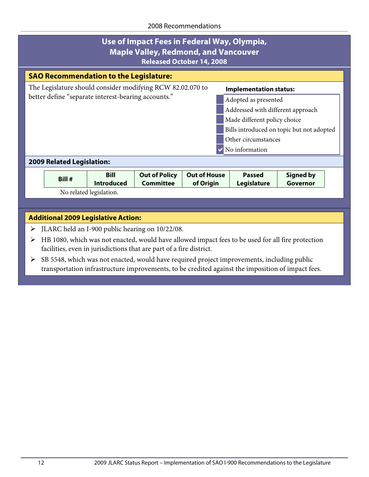| Use of Impact Fees in Federal Way, Olympia,<br><b>Maple Valley, Redmond, and Vancouver</b><br><b>Released October 14, 2008</b> |        |                                  |                                          |                                  |                                           |                              |  |  |
|--------------------------------------------------------------------------------------------------------------------------------|--------|----------------------------------|------------------------------------------|----------------------------------|-------------------------------------------|------------------------------|--|--|
| <b>SAO Recommendation to the Legislature:</b>                                                                                  |        |                                  |                                          |                                  |                                           |                              |  |  |
| The Legislature should consider modifying RCW 82.02.070 to<br><b>Implementation status:</b>                                    |        |                                  |                                          |                                  |                                           |                              |  |  |
| better define "separate interest-bearing accounts."                                                                            |        |                                  |                                          |                                  | Adopted as presented                      |                              |  |  |
|                                                                                                                                |        |                                  |                                          |                                  | Addressed with different approach         |                              |  |  |
|                                                                                                                                |        |                                  |                                          |                                  | Made different policy choice              |                              |  |  |
|                                                                                                                                |        |                                  |                                          |                                  | Bills introduced on topic but not adopted |                              |  |  |
|                                                                                                                                |        |                                  |                                          |                                  | Other circumstances                       |                              |  |  |
|                                                                                                                                |        |                                  |                                          |                                  | No information                            |                              |  |  |
| <b>2009 Related Legislation:</b>                                                                                               |        |                                  |                                          |                                  |                                           |                              |  |  |
|                                                                                                                                | Bill # | <b>Bill</b><br><b>Introduced</b> | <b>Out of Policy</b><br><b>Committee</b> | <b>Out of House</b><br>of Origin | <b>Passed</b><br>Legislature              | <b>Signed by</b><br>Governor |  |  |

## **Additional 2009 Legislative Action:**

No related legislation.

- JLARC held an I-900 public hearing on 10/22/08.
- HB 1080, which was not enacted, would have allowed impact fees to be used for all fire protection facilities, even in jurisdictions that are part of a fire district.

 SB 5548, which was not enacted, would have required project improvements, including public transportation infrastructure improvements, to be credited against the imposition of impact fees.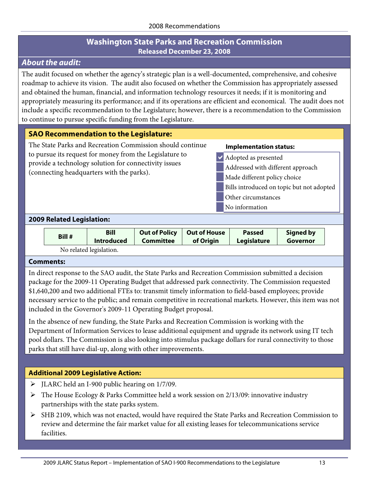## **Washington State Parks and Recreation Commission Released December 23, 2008**

## <span id="page-16-0"></span>*About the audit:*

The audit focused on whether the agency's strategic plan is a well-documented, comprehensive, and cohesive roadmap to achieve its vision. The audit also focused on whether the Commission has appropriately assessed and obtained the human, financial, and information technology resources it needs; if it is monitoring and appropriately measuring its performance; and if its operations are efficient and economical. The audit does not include a specific recommendation to the Legislature; however, there is a recommendation to the Commission to continue to pursue specific funding from the Legislature.

## **SAO Recommendation to the Legislature:**

The State Parks and Recreation Commission should continue to pursue its request for money from the Legislature to provide a technology solution for connectivity issues (connecting headquarters with the parks).

#### **Implementation status:**

- Adopted as presented
- Addressed with different approach
- Made different policy choice
- Bills introduced on topic but not adopted
	- Other circumstances
- No information

#### **2009 Related Legislation:**

| Bill # | <b>Bill</b>             | <b>Out of Policy</b> | <b>Out of House</b> | <b>Passed</b>      | Signed by |
|--------|-------------------------|----------------------|---------------------|--------------------|-----------|
|        | <b>Introduced</b>       | <b>Committee</b>     | of Origin           | <b>Legislature</b> | Governor  |
|        | No related legislation. |                      |                     |                    |           |

#### **Comments:**

In direct response to the SAO audit, the State Parks and Recreation Commission submitted a decision package for the 2009-11 Operating Budget that addressed park connectivity. The Commission requested \$1,640,200 and two additional FTEs to: transmit timely information to field-based employees; provide necessary service to the public; and remain competitive in recreational markets. However, this item was not included in the Governor's 2009-11 Operating Budget proposal.

In the absence of new funding, the State Parks and Recreation Commission is working with the Department of Information Services to lease additional equipment and upgrade its network using IT tech pool dollars. The Commission is also looking into stimulus package dollars for rural connectivity to those parks that still have dial-up, along with other improvements.

## **Additional 2009 Legislative Action:**

- JLARC held an I-900 public hearing on 1/7/09.
- The House Ecology & Parks Committee held a work session on 2/13/09: innovative industry partnerships with the state parks system.
- SHB 2109, which was not enacted, would have required the State Parks and Recreation Commission to review and determine the fair market value for all existing leases for telecommunications service facilities.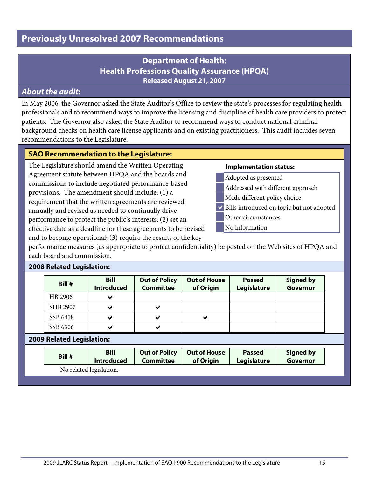## <span id="page-18-1"></span><span id="page-18-0"></span>*About the audit:*

In May 2006, the Governor asked the State Auditor's Office to review the state's processes for regulating health professionals and to recommend ways to improve the licensing and discipline of health care providers to protect patients. The Governor also asked the State Auditor to recommend ways to conduct national criminal background checks on health care license applicants and on existing practitioners. This audit includes seven recommendations to the Legislature.

## **SAO Recommendation to the Legislature:**

The Legislature should amend the Written Operating Agreement statute between HPQA and the boards and commissions to include negotiated performance-based provisions. The amendment should include: (1) a requirement that the written agreements are reviewed annually and revised as needed to continually drive performance to protect the public's interests; (2) set an effective date as a deadline for these agreements to be revised and to become operational; (3) require the results of the key

#### **Implementation status:**

- Adopted as presented
- Addressed with different approach
- Made different policy choice
- Bills introduced on topic but not adopted
	- Other circumstances
	- No information

performance measures (as appropriate to protect confidentiality) be posted on the Web sites of HPQA and each board and commission.

#### **2008 Related Legislation:**

| Bill #   | <b>Bill</b><br><b>Introduced</b> | <b>Out of Policy</b><br><b>Committee</b> | <b>Out of House</b><br>of Origin | <b>Passed</b><br>Legislature | <b>Signed by</b><br>Governor |
|----------|----------------------------------|------------------------------------------|----------------------------------|------------------------------|------------------------------|
| HB 2906  |                                  |                                          |                                  |                              |                              |
| SHB 2907 |                                  |                                          |                                  |                              |                              |
| SSB 6458 |                                  |                                          |                                  |                              |                              |
| SSB 6506 |                                  |                                          |                                  |                              |                              |

#### **2009 Related Legislation:**

| Bill # | <b>Bill</b>       | <b>Out of Policy</b> | <b>Out of House</b> | <b>Passed</b> | <b>Signed by</b> |
|--------|-------------------|----------------------|---------------------|---------------|------------------|
|        | <b>Introduced</b> | <b>Committee</b>     | of Origin           | Legislature   | Governor         |

No related legislation.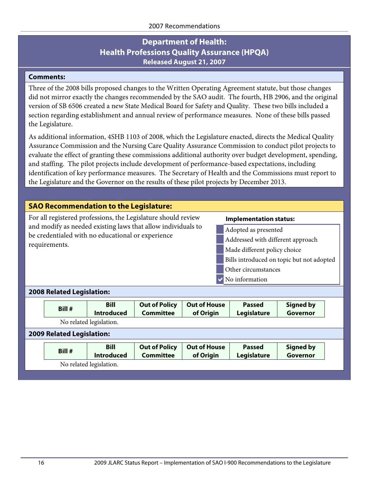#### **Comments:**

Three of the 2008 bills proposed changes to the Written Operating Agreement statute, but those changes did not mirror exactly the changes recommended by the SAO audit. The fourth, HB 2906, and the original version of SB 6506 created a new State Medical Board for Safety and Quality. These two bills included a section regarding establishment and annual review of performance measures. None of these bills passed the Legislature.

As additional information, 4SHB 1103 of 2008, which the Legislature enacted, directs the Medical Quality Assurance Commission and the Nursing Care Quality Assurance Commission to conduct pilot projects to evaluate the effect of granting these commissions additional authority over budget development, spending, and staffing. The pilot projects include development of performance-based expectations, including identification of key performance measures. The Secretary of Health and the Commissions must report to the Legislature and the Governor on the results of these pilot projects by December 2013.

## **SAO Recommendation to the Legislature:**

For all registered professions, the Legislature should review and modify as needed existing laws that allow individuals to be credentialed with no educational or experience requirements.

#### **Implementation status:**

- Adopted as presented
- Addressed with different approach
- Made different policy choice
- Bills introduced on topic but not adopted
- Other circumstances
- No information

#### **2008 Related Legislation:**

| Bill #                                                                                                                                                                                            | <b>Bill</b><br><b>Introduced</b> | <b>Out of Policy</b><br><b>Committee</b> | <b>Out of House</b><br>of Origin | <b>Passed</b><br>Legislature | <b>Signed by</b><br><b>Governor</b> |  |  |  |
|---------------------------------------------------------------------------------------------------------------------------------------------------------------------------------------------------|----------------------------------|------------------------------------------|----------------------------------|------------------------------|-------------------------------------|--|--|--|
| No related legislation.                                                                                                                                                                           |                                  |                                          |                                  |                              |                                     |  |  |  |
| <b>2009 Related Legislation:</b>                                                                                                                                                                  |                                  |                                          |                                  |                              |                                     |  |  |  |
| <b>Out of Policy</b><br><b>Out of House</b><br><b>Bill</b><br><b>Passed</b><br><b>Signed by</b><br>Bill #<br><b>Committee</b><br><b>Governor</b><br>of Origin<br><b>Introduced</b><br>Legislature |                                  |                                          |                                  |                              |                                     |  |  |  |
| No related legislation.                                                                                                                                                                           |                                  |                                          |                                  |                              |                                     |  |  |  |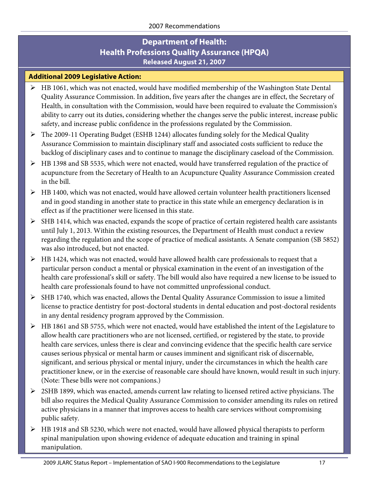### **Additional 2009 Legislative Action:**

- $\triangleright$  HB 1061, which was not enacted, would have modified membership of the Washington State Dental Quality Assurance Commission. In addition, five years after the changes are in effect, the Secretary of Health, in consultation with the Commission, would have been required to evaluate the Commission's ability to carry out its duties, considering whether the changes serve the public interest, increase public safety, and increase public confidence in the professions regulated by the Commission.
- The 2009-11 Operating Budget (ESHB 1244) allocates funding solely for the Medical Quality Assurance Commission to maintain disciplinary staff and associated costs sufficient to reduce the backlog of disciplinary cases and to continue to manage the disciplinary caseload of the Commission.
- HB 1398 and SB 5535, which were not enacted, would have transferred regulation of the practice of acupuncture from the Secretary of Health to an Acupuncture Quality Assurance Commission created in the bill.
- HB 1400, which was not enacted, would have allowed certain volunteer health practitioners licensed and in good standing in another state to practice in this state while an emergency declaration is in effect as if the practitioner were licensed in this state.
- $\triangleright$  SHB 1414, which was enacted, expands the scope of practice of certain registered health care assistants until July 1, 2013. Within the existing resources, the Department of Health must conduct a review regarding the regulation and the scope of practice of medical assistants. A Senate companion (SB 5852) was also introduced, but not enacted.
- $\triangleright$  HB 1424, which was not enacted, would have allowed health care professionals to request that a particular person conduct a mental or physical examination in the event of an investigation of the health care professional's skill or safety. The bill would also have required a new license to be issued to health care professionals found to have not committed unprofessional conduct.
- $\triangleright$  SHB 1740, which was enacted, allows the Dental Quality Assurance Commission to issue a limited license to practice dentistry for post-doctoral students in dental education and post-doctoral residents in any dental residency program approved by the Commission.
- HB 1861 and SB 5755, which were not enacted, would have established the intent of the Legislature to allow health care practitioners who are not licensed, certified, or registered by the state, to provide health care services, unless there is clear and convincing evidence that the specific health care service causes serious physical or mental harm or causes imminent and significant risk of discernable, significant, and serious physical or mental injury, under the circumstances in which the health care practitioner knew, or in the exercise of reasonable care should have known, would result in such injury. (Note: These bills were not companions.)
- 2SHB 1899, which was enacted, amends current law relating to licensed retired active physicians. The bill also requires the Medical Quality Assurance Commission to consider amending its rules on retired active physicians in a manner that improves access to health care services without compromising public safety.
- HB 1918 and SB 5230, which were not enacted, would have allowed physical therapists to perform spinal manipulation upon showing evidence of adequate education and training in spinal manipulation.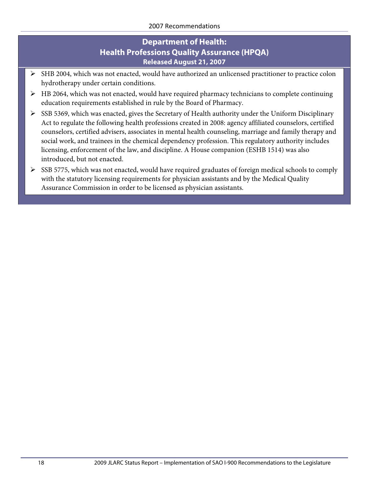- $\triangleright$  SHB 2004, which was not enacted, would have authorized an unlicensed practitioner to practice colon hydrotherapy under certain conditions.
- $\triangleright$  HB 2064, which was not enacted, would have required pharmacy technicians to complete continuing education requirements established in rule by the Board of Pharmacy.
- $\triangleright$  SSB 5369, which was enacted, gives the Secretary of Health authority under the Uniform Disciplinary Act to regulate the following health professions created in 2008: agency affiliated counselors, certified counselors, certified advisers, associates in mental health counseling, marriage and family therapy and social work, and trainees in the chemical dependency profession. This regulatory authority includes licensing, enforcement of the law, and discipline. A House companion (ESHB 1514) was also introduced, but not enacted.
- $\triangleright$  SSB 5775, which was not enacted, would have required graduates of foreign medical schools to comply with the statutory licensing requirements for physician assistants and by the Medical Quality Assurance Commission in order to be licensed as physician assistants.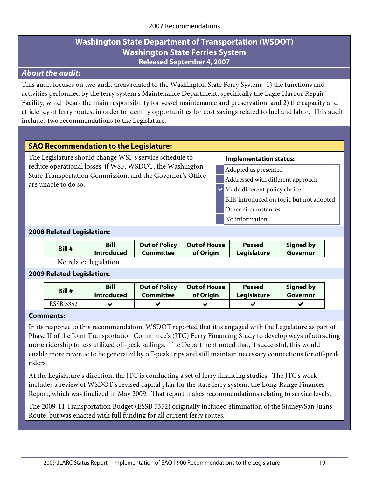## **Washington State Department of Transportation (WSDOT) Washington State Ferries System Released September 4, 2007**

## <span id="page-22-0"></span>*About the audit:*

This audit focuses on two audit areas related to the Washington State Ferry System: 1) the functions and activities performed by the ferry system's Maintenance Department, specifically the Eagle Harbor Repair Facility, which bears the main responsibility for vessel maintenance and preservation; and 2) the capacity and efficiency of ferry routes, in order to identify opportunities for cost savings related to fuel and labor. This audit includes two recommendations to the Legislature.

#### **SAO Recommendation to the Legislature:**

The Legislature should change WSF's service schedule to reduce operational losses, if WSF, WSDOT, the Washington State Transportation Commission, and the Governor's Office are unable to do so.

#### **Implementation status:**

- Adopted as presented
- Addressed with different approach
- $\vee$  Made different policy choice
- Bills introduced on topic but not adopted
- Other circumstances
- No information

#### **2008 Related Legislation:**

| Bill # | <b>Bill</b>             | <b>Out of Policy</b> | <b>Out of House</b> | <b>Passed</b> | <b>Signed by</b> |
|--------|-------------------------|----------------------|---------------------|---------------|------------------|
|        | <b>Introduced</b>       | <b>Committee</b>     | of Origin           | Legislature   | Governor         |
|        | No related legislation. |                      |                     |               |                  |

#### **2009 Related Legislation:**

| Bill #           | <b>Bill</b>       | <b>Out of Policy</b> | <b>Out of House</b> | <b>Passed</b> | Signed by |
|------------------|-------------------|----------------------|---------------------|---------------|-----------|
|                  | <b>Introduced</b> | Committee            | of Origin           | Legislature   | Governor  |
| <b>ESSB 5352</b> |                   |                      |                     |               |           |

#### **Comments:**

In its response to this recommendation, WSDOT reported that it is engaged with the Legislature as part of Phase II of the Joint Transportation Committee's (JTC) Ferry Financing Study to develop ways of attracting more ridership to less utilized off-peak sailings. The Department noted that, if successful, this would enable more revenue to be generated by off-peak trips and still maintain necessary connections for off-peak riders.

At the Legislature's direction, the JTC is conducting a set of ferry financing studies. The JTC's work includes a review of WSDOT's revised capital plan for the state ferry system, the Long-Range Finances Report, which was finalized in May 2009. That report makes recommendations relating to service levels.

The 2009-11 Transportation Budget (ESSB 5352) originally included elimination of the Sidney/San Juans Route, but was enacted with full funding for all current ferry routes.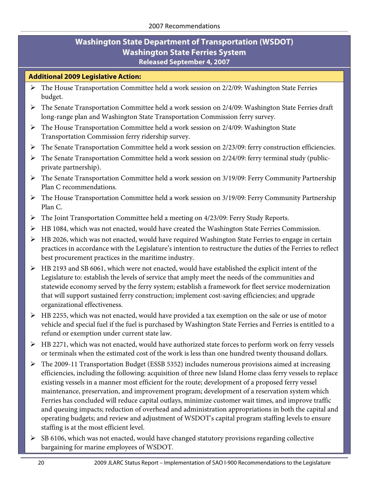## **Washington State Department of Transportation (WSDOT) Washington State Ferries System Released September 4, 2007**

### **Additional 2009 Legislative Action:**

- $\triangleright$  The House Transportation Committee held a work session on 2/2/09: Washington State Ferries budget.
- $\triangleright$  The Senate Transportation Committee held a work session on 2/4/09: Washington State Ferries draft long-range plan and Washington State Transportation Commission ferry survey.
- $\triangleright$  The House Transportation Committee held a work session on 2/4/09: Washington State Transportation Commission ferry ridership survey.
- The Senate Transportation Committee held a work session on 2/23/09: ferry construction efficiencies.
- $\triangleright$  The Senate Transportation Committee held a work session on 2/24/09: ferry terminal study (publicprivate partnership).
- The Senate Transportation Committee held a work session on 3/19/09: Ferry Community Partnership Plan C recommendations.
- The House Transportation Committee held a work session on 3/19/09: Ferry Community Partnership Plan C.
- The Joint Transportation Committee held a meeting on 4/23/09: Ferry Study Reports.
- HB 1084, which was not enacted, would have created the Washington State Ferries Commission.
- $\triangleright$  HB 2026, which was not enacted, would have required Washington State Ferries to engage in certain practices in accordance with the Legislature's intention to restructure the duties of the Ferries to reflect best procurement practices in the maritime industry.
- HB 2193 and SB 6061, which were not enacted, would have established the explicit intent of the Legislature to: establish the levels of service that amply meet the needs of the communities and statewide economy served by the ferry system; establish a framework for fleet service modernization that will support sustained ferry construction; implement cost-saving efficiencies; and upgrade organizational effectiveness.
- $\triangleright$  HB 2255, which was not enacted, would have provided a tax exemption on the sale or use of motor vehicle and special fuel if the fuel is purchased by Washington State Ferries and Ferries is entitled to a refund or exemption under current state law.
- > HB 2271, which was not enacted, would have authorized state forces to perform work on ferry vessels or terminals when the estimated cost of the work is less than one hundred twenty thousand dollars.
- The 2009-11 Transportation Budget (ESSB 5352) includes numerous provisions aimed at increasing efficiencies, including the following: acquisition of three new Island Home class ferry vessels to replace existing vessels in a manner most efficient for the route; development of a proposed ferry vessel maintenance, preservation, and improvement program; development of a reservation system which Ferries has concluded will reduce capital outlays, minimize customer wait times, and improve traffic and queuing impacts; reduction of overhead and administration appropriations in both the capital and operating budgets; and review and adjustment of WSDOT's capital program staffing levels to ensure staffing is at the most efficient level.
- $\triangleright$  SB 6106, which was not enacted, would have changed statutory provisions regarding collective bargaining for marine employees of WSDOT.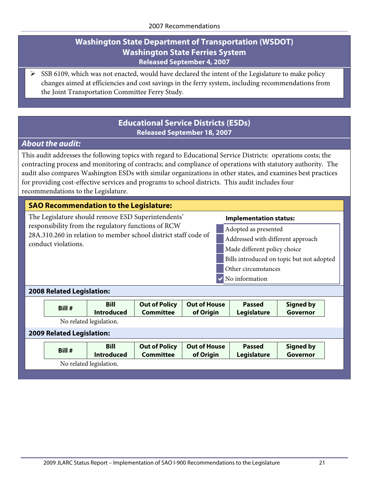## **Washington State Department of Transportation (WSDOT) Washington State Ferries System Released September 4, 2007**

 SSB 6109, which was not enacted, would have declared the intent of the Legislature to make policy changes aimed at efficiencies and cost savings in the ferry system, including recommendations from the Joint Transportation Committee Ferry Study.

## **Educational Service Districts (ESDs) Released September 18, 2007**

## <span id="page-24-0"></span>*About the audit:*

This audit addresses the following topics with regard to Educational Service Districts: operations costs; the contracting process and monitoring of contracts; and compliance of operations with statutory authority. The audit also compares Washington ESDs with similar organizations in other states, and examines best practices for providing cost-effective services and programs to school districts. This audit includes four recommendations to the Legislature.

#### **SAO Recommendation to the Legislature:**

The Legislature should remove ESD Superintendents' responsibility from the regulatory functions of RCW 28A.310.260 in relation to member school district staff code of conduct violations.

#### **Implementation status:**

- Adopted as presented
- Addressed with different approach
- Made different policy choice
- Bills introduced on topic but not adopted
- Other circumstances
- No information

#### **2008 Related Legislation:**

| Bill #                           | <b>Bill</b><br><b>Introduced</b> | <b>Out of Policy</b><br><b>Committee</b> | <b>Out of House</b><br>of Origin | <b>Passed</b><br>Legislature | <b>Signed by</b><br>Governor |  |  |
|----------------------------------|----------------------------------|------------------------------------------|----------------------------------|------------------------------|------------------------------|--|--|
| No related legislation.          |                                  |                                          |                                  |                              |                              |  |  |
| <b>2009 Related Legislation:</b> |                                  |                                          |                                  |                              |                              |  |  |

| Bill # | <b>Bill</b><br><b>Introduced</b> | <b>Out of Policy</b><br>Committee | Out of House<br>of Origin | <b>Passed</b><br><b>Legislature</b> | Signed by<br>Governor |
|--------|----------------------------------|-----------------------------------|---------------------------|-------------------------------------|-----------------------|
|        | No related legislation.          |                                   |                           |                                     |                       |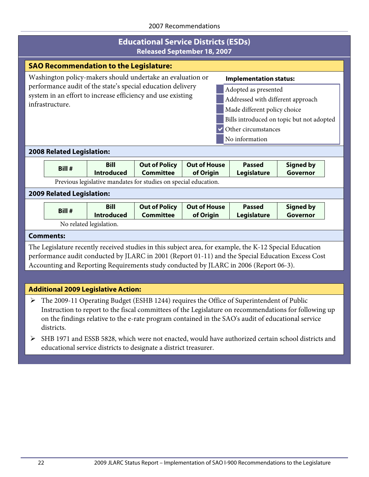## **Educational Service Districts (ESDs) Released September 18, 2007**

|                                                                                                                                                                                                                                                                                                                                                                                                                                                                                  |                                                                                                                                                                                                                                                                                                       | <b>Released September 18, 2007</b>         |                                                                                          |                                  |                              |                                                                                                       |  |  |  |
|----------------------------------------------------------------------------------------------------------------------------------------------------------------------------------------------------------------------------------------------------------------------------------------------------------------------------------------------------------------------------------------------------------------------------------------------------------------------------------|-------------------------------------------------------------------------------------------------------------------------------------------------------------------------------------------------------------------------------------------------------------------------------------------------------|--------------------------------------------|------------------------------------------------------------------------------------------|----------------------------------|------------------------------|-------------------------------------------------------------------------------------------------------|--|--|--|
|                                                                                                                                                                                                                                                                                                                                                                                                                                                                                  |                                                                                                                                                                                                                                                                                                       |                                            |                                                                                          |                                  |                              |                                                                                                       |  |  |  |
| <b>SAO Recommendation to the Legislature:</b><br>Washington policy-makers should undertake an evaluation or<br><b>Implementation status:</b><br>performance audit of the state's special education delivery<br>Adopted as presented<br>system in an effort to increase efficiency and use existing<br>Addressed with different approach<br>infrastructure.<br>Made different policy choice<br>Bills introduced on topic but not adopted<br>Other circumstances<br>No information |                                                                                                                                                                                                                                                                                                       |                                            |                                                                                          |                                  |                              |                                                                                                       |  |  |  |
|                                                                                                                                                                                                                                                                                                                                                                                                                                                                                  | <b>2008 Related Legislation:</b>                                                                                                                                                                                                                                                                      |                                            |                                                                                          |                                  |                              |                                                                                                       |  |  |  |
|                                                                                                                                                                                                                                                                                                                                                                                                                                                                                  | Bill #                                                                                                                                                                                                                                                                                                | <b>Bill</b><br><b>Introduced</b>           | <b>Out of Policy</b><br><b>Committee</b>                                                 | <b>Out of House</b><br>of Origin | <b>Passed</b><br>Legislature | <b>Signed by</b><br>Governor                                                                          |  |  |  |
|                                                                                                                                                                                                                                                                                                                                                                                                                                                                                  |                                                                                                                                                                                                                                                                                                       |                                            | Previous legislative mandates for studies on special education.                          |                                  |                              |                                                                                                       |  |  |  |
|                                                                                                                                                                                                                                                                                                                                                                                                                                                                                  | <b>2009 Related Legislation:</b>                                                                                                                                                                                                                                                                      |                                            |                                                                                          |                                  |                              |                                                                                                       |  |  |  |
|                                                                                                                                                                                                                                                                                                                                                                                                                                                                                  | Bill #                                                                                                                                                                                                                                                                                                | <b>Bill</b><br><b>Introduced</b>           | <b>Out of Policy</b><br><b>Committee</b>                                                 | <b>Out of House</b><br>of Origin | <b>Passed</b><br>Legislature | <b>Signed by</b><br>Governor                                                                          |  |  |  |
|                                                                                                                                                                                                                                                                                                                                                                                                                                                                                  |                                                                                                                                                                                                                                                                                                       | No related legislation.                    |                                                                                          |                                  |                              |                                                                                                       |  |  |  |
|                                                                                                                                                                                                                                                                                                                                                                                                                                                                                  | <b>Comments:</b>                                                                                                                                                                                                                                                                                      |                                            |                                                                                          |                                  |                              |                                                                                                       |  |  |  |
|                                                                                                                                                                                                                                                                                                                                                                                                                                                                                  | The Legislature recently received studies in this subject area, for example, the K-12 Special Education<br>performance audit conducted by JLARC in 2001 (Report 01-11) and the Special Education Excess Cost<br>Accounting and Reporting Requirements study conducted by JLARC in 2006 (Report 06-3). |                                            |                                                                                          |                                  |                              |                                                                                                       |  |  |  |
|                                                                                                                                                                                                                                                                                                                                                                                                                                                                                  |                                                                                                                                                                                                                                                                                                       |                                            |                                                                                          |                                  |                              |                                                                                                       |  |  |  |
|                                                                                                                                                                                                                                                                                                                                                                                                                                                                                  |                                                                                                                                                                                                                                                                                                       | <b>Additional 2009 Legislative Action:</b> |                                                                                          |                                  |                              |                                                                                                       |  |  |  |
| ➤                                                                                                                                                                                                                                                                                                                                                                                                                                                                                |                                                                                                                                                                                                                                                                                                       |                                            | The 2009-11 Operating Budget (ESHB 1244) requires the Office of Superintendent of Public |                                  |                              | Instruction to report to the fiscal committees of the Legislature on recommendations for following up |  |  |  |

- on the findings relative to the e-rate program contained in the SAO's audit of educational service districts. SHB 1971 and ESSB 5828, which were not enacted, would have authorized certain school districts and
- educational service districts to designate a district treasurer.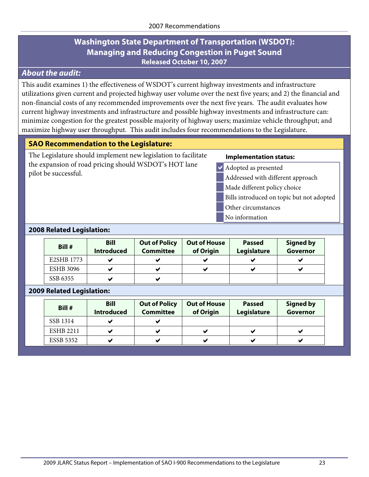## <span id="page-26-0"></span>*About the audit:*

This audit examines 1) the effectiveness of WSDOT's current highway investments and infrastructure utilizations given current and projected highway user volume over the next five years; and 2) the financial and non-financial costs of any recommended improvements over the next five years. The audit evaluates how current highway investments and infrastructure and possible highway investments and infrastructure can: minimize congestion for the greatest possible majority of highway users; maximize vehicle throughput; and maximize highway user throughput. This audit includes four recommendations to the Legislature.

## **SAO Recommendation to the Legislature:**

The Legislature should implement new legislation to facilitate the expansion of road pricing should WSDOT's HOT lane pilot be successful.

#### **Implementation status:**

- Adopted as presented
- Addressed with different approach
- Made different policy choice
- Bills introduced on topic but not adopted
- Other circumstances
- No information

#### **2008 Related Legislation:**

| Bill #           | <b>Bill</b><br><b>Introduced</b> | <b>Out of Policy</b><br><b>Committee</b> | <b>Out of House</b><br>of Origin | <b>Passed</b><br>Legislature | <b>Signed by</b><br>Governor |
|------------------|----------------------------------|------------------------------------------|----------------------------------|------------------------------|------------------------------|
| E2SHB 1773       |                                  | ✔                                        |                                  |                              | ✔                            |
| <b>ESHB 3096</b> | $\overline{\phantom{a}}$         | ✔                                        |                                  | M                            | ✔                            |
| SSB 6355         | $\overline{\phantom{a}}$         | ✔                                        |                                  |                              |                              |

#### **2009 Related Legislation:**

| Bill #           | <b>Bill</b><br><b>Introduced</b> | <b>Out of Policy</b><br><b>Committee</b> | <b>Out of House</b><br>of Origin | <b>Passed</b><br>Legislature | <b>Signed by</b><br>Governor |
|------------------|----------------------------------|------------------------------------------|----------------------------------|------------------------------|------------------------------|
| SSB 1314         | ◡                                | v                                        |                                  |                              |                              |
| <b>ESHB 2211</b> | ◡                                |                                          |                                  |                              |                              |
| <b>ESSB 5352</b> |                                  |                                          |                                  |                              |                              |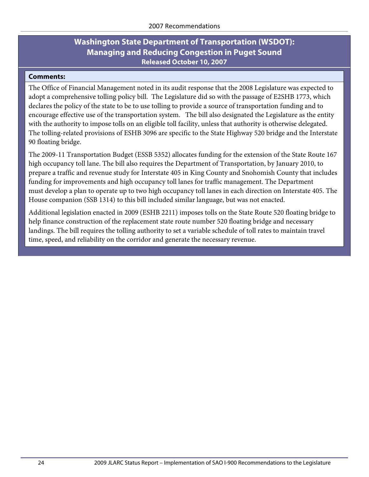#### **Comments:**

The Office of Financial Management noted in its audit response that the 2008 Legislature was expected to adopt a comprehensive tolling policy bill. The Legislature did so with the passage of E2SHB 1773, which declares the policy of the state to be to use tolling to provide a source of transportation funding and to encourage effective use of the transportation system. The bill also designated the Legislature as the entity with the authority to impose tolls on an eligible toll facility, unless that authority is otherwise delegated. The tolling-related provisions of ESHB 3096 are specific to the State Highway 520 bridge and the Interstate 90 floating bridge.

The 2009-11 Transportation Budget (ESSB 5352) allocates funding for the extension of the State Route 167 high occupancy toll lane. The bill also requires the Department of Transportation, by January 2010, to prepare a traffic and revenue study for Interstate 405 in King County and Snohomish County that includes funding for improvements and high occupancy toll lanes for traffic management. The Department must develop a plan to operate up to two high occupancy toll lanes in each direction on Interstate 405. The House companion (SSB 1314) to this bill included similar language, but was not enacted.

Additional legislation enacted in 2009 (ESHB 2211) imposes tolls on the State Route 520 floating bridge to help finance construction of the replacement state route number 520 floating bridge and necessary landings. The bill requires the tolling authority to set a variable schedule of toll rates to maintain travel time, speed, and reliability on the corridor and generate the necessary revenue.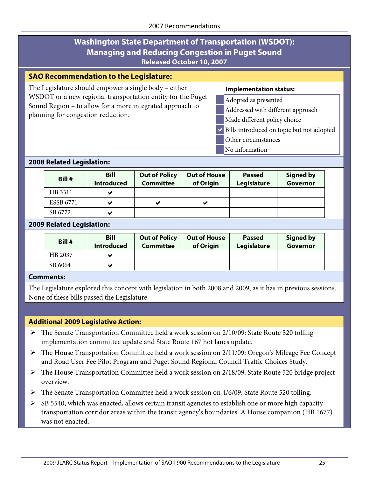#### **SAO Recommendation to the Legislature:**

The Legislature should empower a single body – either WSDOT or a new regional transportation entity for the Puget Sound Region – to allow for a more integrated approach to planning for congestion reduction.

#### **Implementation status:**

- Adopted as presented
- Addressed with different approach
- Made different policy choice
- Bills introduced on topic but not adopted
	- Other circumstances
- No information

#### **2008 Related Legislation:**

| Bill #           | <b>Bill</b><br><b>Introduced</b> | <b>Out of Policy</b><br><b>Committee</b> | <b>Out of House</b><br>of Origin | <b>Passed</b><br>Legislature | <b>Signed by</b><br>Governor |
|------------------|----------------------------------|------------------------------------------|----------------------------------|------------------------------|------------------------------|
| HB 3311          |                                  |                                          |                                  |                              |                              |
| <b>ESSB 6771</b> |                                  | ✔                                        | v                                |                              |                              |
| SB 6772          |                                  |                                          |                                  |                              |                              |

#### **2009 Related Legislation:**

| Bill #  | <b>Bill</b><br><b>Introduced</b> | <b>Out of Policy</b><br>Committee | <b>Out of House</b><br>of Origin | <b>Passed</b><br>Legislature | <b>Signed by</b><br>Governor |
|---------|----------------------------------|-----------------------------------|----------------------------------|------------------------------|------------------------------|
| HB 2037 |                                  |                                   |                                  |                              |                              |
| SB 6064 |                                  |                                   |                                  |                              |                              |

#### **Comments:**

The Legislature explored this concept with legislation in both 2008 and 2009, as it has in previous sessions. None of these bills passed the Legislature.

#### **Additional 2009 Legislative Action:**

- The Senate Transportation Committee held a work session on 2/10/09: State Route 520 tolling implementation committee update and State Route 167 hot lanes update.
- The House Transportation Committee held a work session on 2/11/09: Oregon's Mileage Fee Concept and Road User Fee Pilot Program and Puget Sound Regional Council Traffic Choices Study.
- The House Transportation Committee held a work session on 2/18/09: State Route 520 bridge project overview.
- $\triangleright$  The Senate Transportation Committee held a work session on 4/6/09: State Route 520 tolling.
- $\triangleright$  SB 5540, which was enacted, allows certain transit agencies to establish one or more high capacity transportation corridor areas within the transit agency's boundaries. A House companion (HB 1677) was not enacted.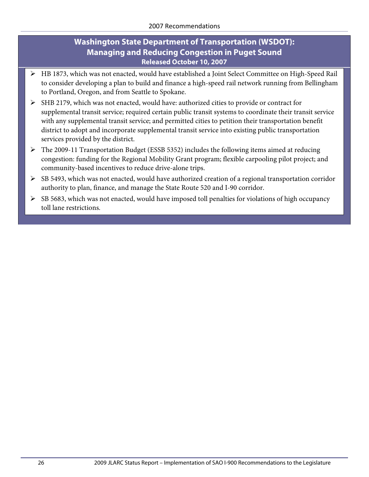- HB 1873, which was not enacted, would have established a Joint Select Committee on High-Speed Rail to consider developing a plan to build and finance a high-speed rail network running from Bellingham to Portland, Oregon, and from Seattle to Spokane.
- SHB 2179, which was not enacted, would have: authorized cities to provide or contract for supplemental transit service; required certain public transit systems to coordinate their transit service with any supplemental transit service; and permitted cities to petition their transportation benefit district to adopt and incorporate supplemental transit service into existing public transportation services provided by the district.
- The 2009-11 Transportation Budget (ESSB 5352) includes the following items aimed at reducing congestion: funding for the Regional Mobility Grant program; flexible carpooling pilot project; and community-based incentives to reduce drive-alone trips.
- $\triangleright$  SB 5493, which was not enacted, would have authorized creation of a regional transportation corridor authority to plan, finance, and manage the State Route 520 and I-90 corridor.
- $\triangleright$  SB 5683, which was not enacted, would have imposed toll penalties for violations of high occupancy toll lane restrictions.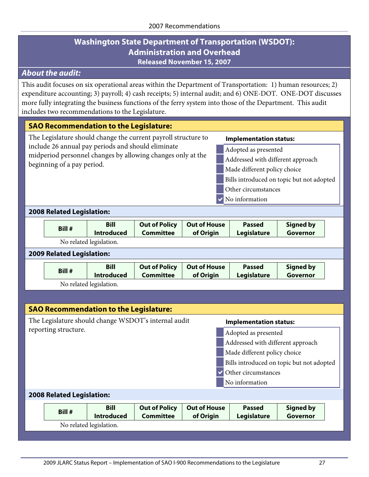## **Washington State Department of Transportation (WSDOT): Administration and Overhead Released November 15, 2007**

## <span id="page-30-0"></span>*About the audit:*

This audit focuses on six operational areas within the Department of Transportation: 1) human resources; 2) expenditure accounting; 3) payroll; 4) cash receipts; 5) internal audit; and 6) ONE-DOT. ONE-DOT discusses more fully integrating the business functions of the ferry system into those of the Department. This audit includes two recommendations to the Legislature.

#### **SAO Recommendation to the Legislature: Implementation status:** Adopted as presented Addressed with different approach Made different policy choice Bills introduced on topic but not adopted Other circumstances No information The Legislature should change the current payroll structure to include 26 annual pay periods and should eliminate midperiod personnel changes by allowing changes only at the beginning of a pay period. **2008 Related Legislation:**

| Bill # | <b>Bill</b>             | <b>Out of Policy</b> | Out of House | <b>Passed</b> | Signed by |
|--------|-------------------------|----------------------|--------------|---------------|-----------|
|        | <b>Introduced</b>       | <b>Committee</b>     | of Origin    | Legislature   | Governor  |
|        | No related legislation. |                      |              |               |           |

#### **2009 Related Legislation:**

|  | Bill # | <b>Bill</b><br><b>Introduced</b> | Committee | Out of Policy   Out of House<br>of Origin | <b>Passed</b><br>Legislature | <b>Signed by</b><br>Governor |
|--|--------|----------------------------------|-----------|-------------------------------------------|------------------------------|------------------------------|
|--|--------|----------------------------------|-----------|-------------------------------------------|------------------------------|------------------------------|

No related legislation.

| <b>SAO Recommendation to the Legislature:</b>                                         |                                           |                      |                     |               |                  |  |
|---------------------------------------------------------------------------------------|-------------------------------------------|----------------------|---------------------|---------------|------------------|--|
| The Legislature should change WSDOT's internal audit<br><b>Implementation status:</b> |                                           |                      |                     |               |                  |  |
| reporting structure.<br>Adopted as presented                                          |                                           |                      |                     |               |                  |  |
| Addressed with different approach                                                     |                                           |                      |                     |               |                  |  |
| Made different policy choice                                                          |                                           |                      |                     |               |                  |  |
|                                                                                       | Bills introduced on topic but not adopted |                      |                     |               |                  |  |
|                                                                                       | Other circumstances                       |                      |                     |               |                  |  |
| No information                                                                        |                                           |                      |                     |               |                  |  |
| <b>2008 Related Legislation:</b>                                                      |                                           |                      |                     |               |                  |  |
| <b>Bill</b><br>Bill #                                                                 |                                           | <b>Out of Policy</b> | <b>Out of House</b> | <b>Passed</b> | <b>Signed by</b> |  |
| <b>Introduced</b>                                                                     |                                           | <b>Committee</b>     | of Origin           | Legislature   | Governor         |  |
| No related legislation.                                                               |                                           |                      |                     |               |                  |  |